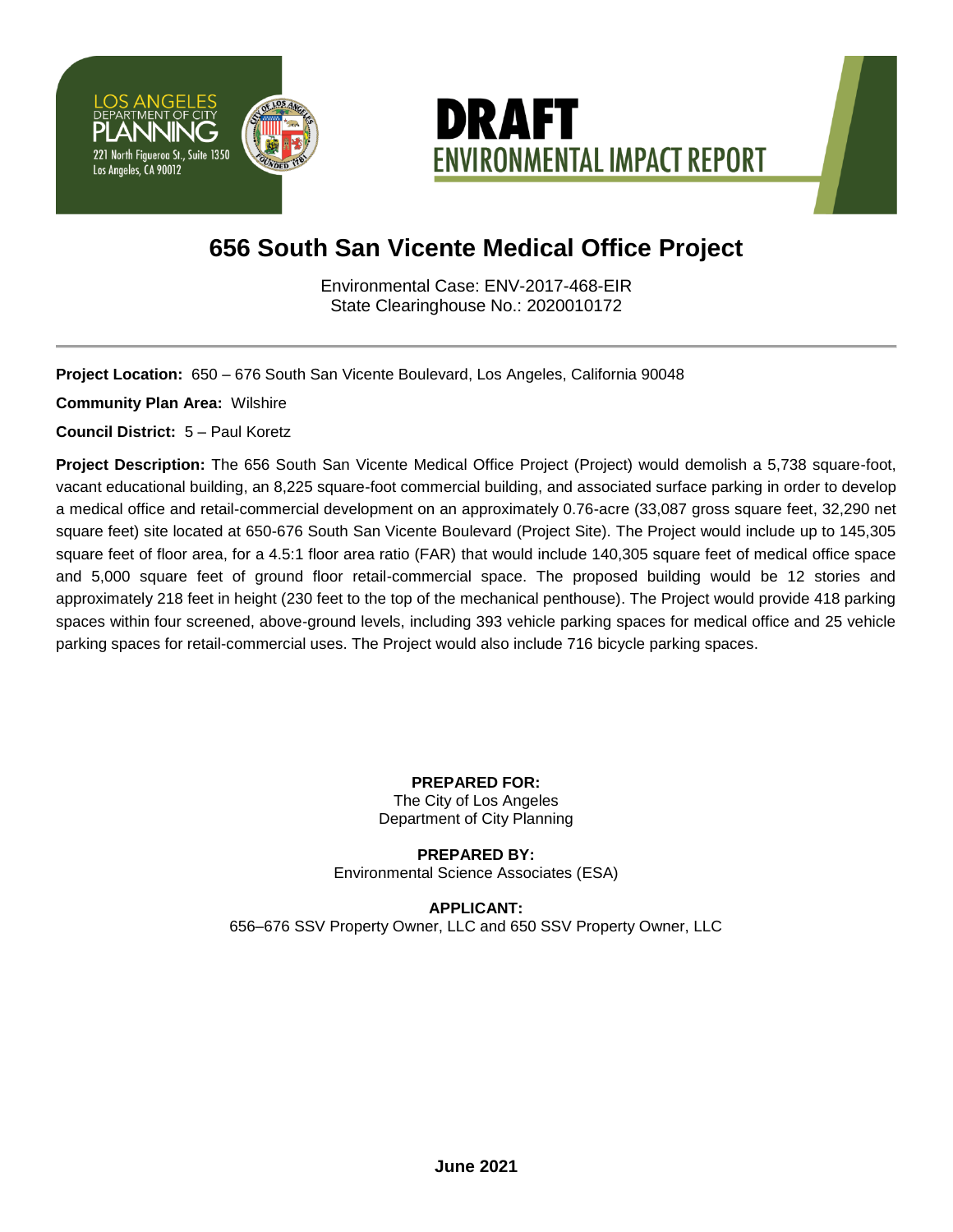



# **656 South San Vicente Medical Office Project**

Environmental Case: ENV-2017-468-EIR State Clearinghouse No.: 2020010172

**Project Location:** 650 – 676 South San Vicente Boulevard, Los Angeles, California 90048

**Community Plan Area:** Wilshire

**Council District:** 5 – Paul Koretz

**Project Description:** The 656 South San Vicente Medical Office Project (Project) would demolish a 5,738 square-foot, vacant educational building, an 8,225 square-foot commercial building, and associated surface parking in order to develop a medical office and retail-commercial development on an approximately 0.76-acre (33,087 gross square feet, 32,290 net square feet) site located at 650-676 South San Vicente Boulevard (Project Site). The Project would include up to 145,305 square feet of floor area, for a 4.5:1 floor area ratio (FAR) that would include 140,305 square feet of medical office space and 5,000 square feet of ground floor retail-commercial space. The proposed building would be 12 stories and approximately 218 feet in height (230 feet to the top of the mechanical penthouse). The Project would provide 418 parking spaces within four screened, above-ground levels, including 393 vehicle parking spaces for medical office and 25 vehicle parking spaces for retail-commercial uses. The Project would also include 716 bicycle parking spaces.

> **PREPARED FOR:** The City of Los Angeles Department of City Planning

**PREPARED BY:** Environmental Science Associates (ESA)

**APPLICANT:** 656–676 SSV Property Owner, LLC and 650 SSV Property Owner, LLC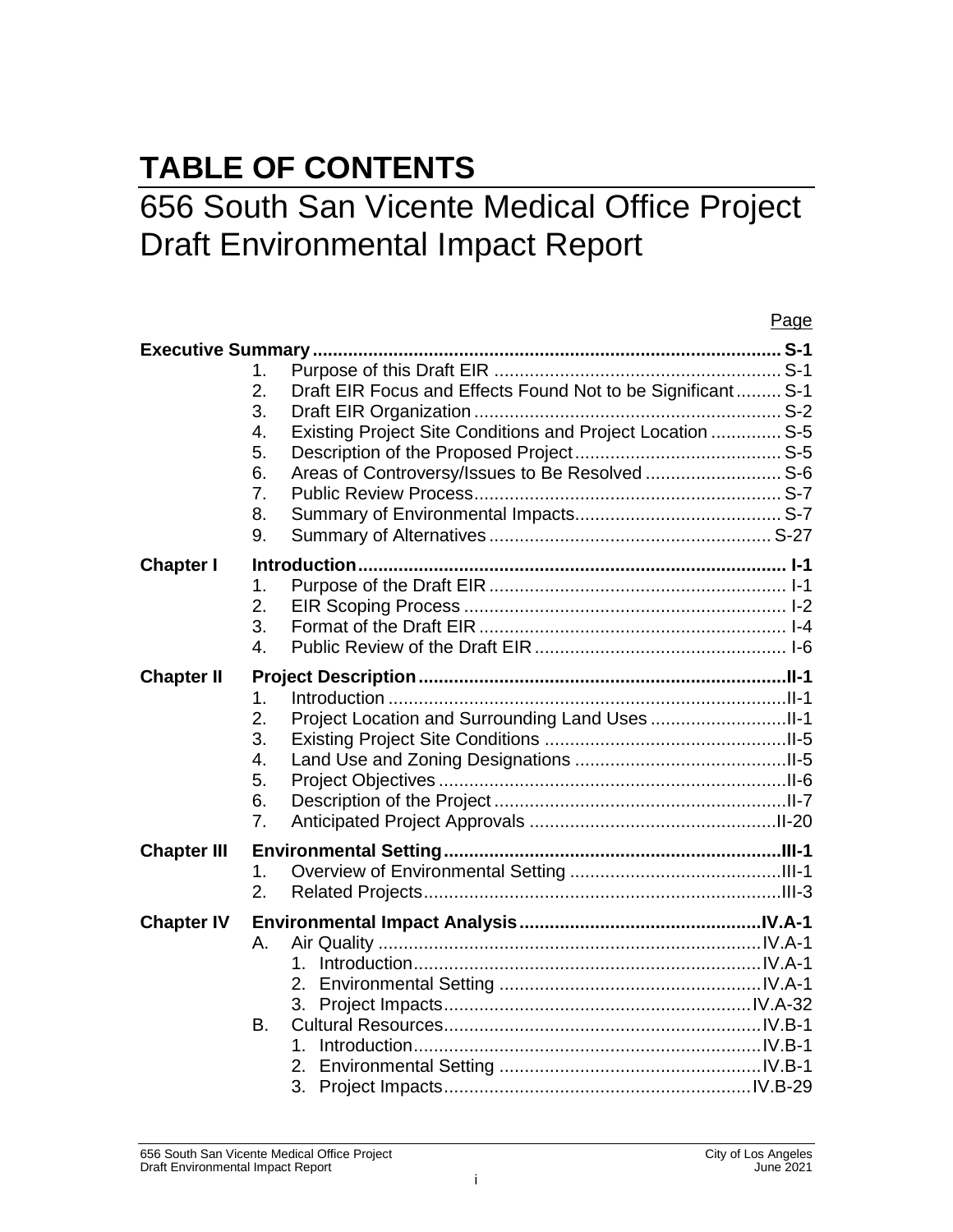# **TABLE OF CONTENTS**

# 656 South San Vicente Medical Office Project Draft Environmental Impact Report

|                    | Page                                                                                                                                                                                                                               |
|--------------------|------------------------------------------------------------------------------------------------------------------------------------------------------------------------------------------------------------------------------------|
|                    | 1.<br>2.<br>Draft EIR Focus and Effects Found Not to be Significant S-1<br>3.<br>Existing Project Site Conditions and Project Location  S-5<br>4.<br>5.<br>Areas of Controversy/Issues to Be Resolved  S-6<br>6.<br>7.<br>8.<br>9. |
| <b>Chapter I</b>   | 1.<br>2.<br>3.<br>4.                                                                                                                                                                                                               |
| <b>Chapter II</b>  | 1.<br>2.<br>3.<br>4.<br>5.<br>6.<br>7.                                                                                                                                                                                             |
| <b>Chapter III</b> | 1.<br>2.                                                                                                                                                                                                                           |
| <b>Chapter IV</b>  | Α.<br>1.<br>3.<br><b>B.</b><br>1.<br>3.                                                                                                                                                                                            |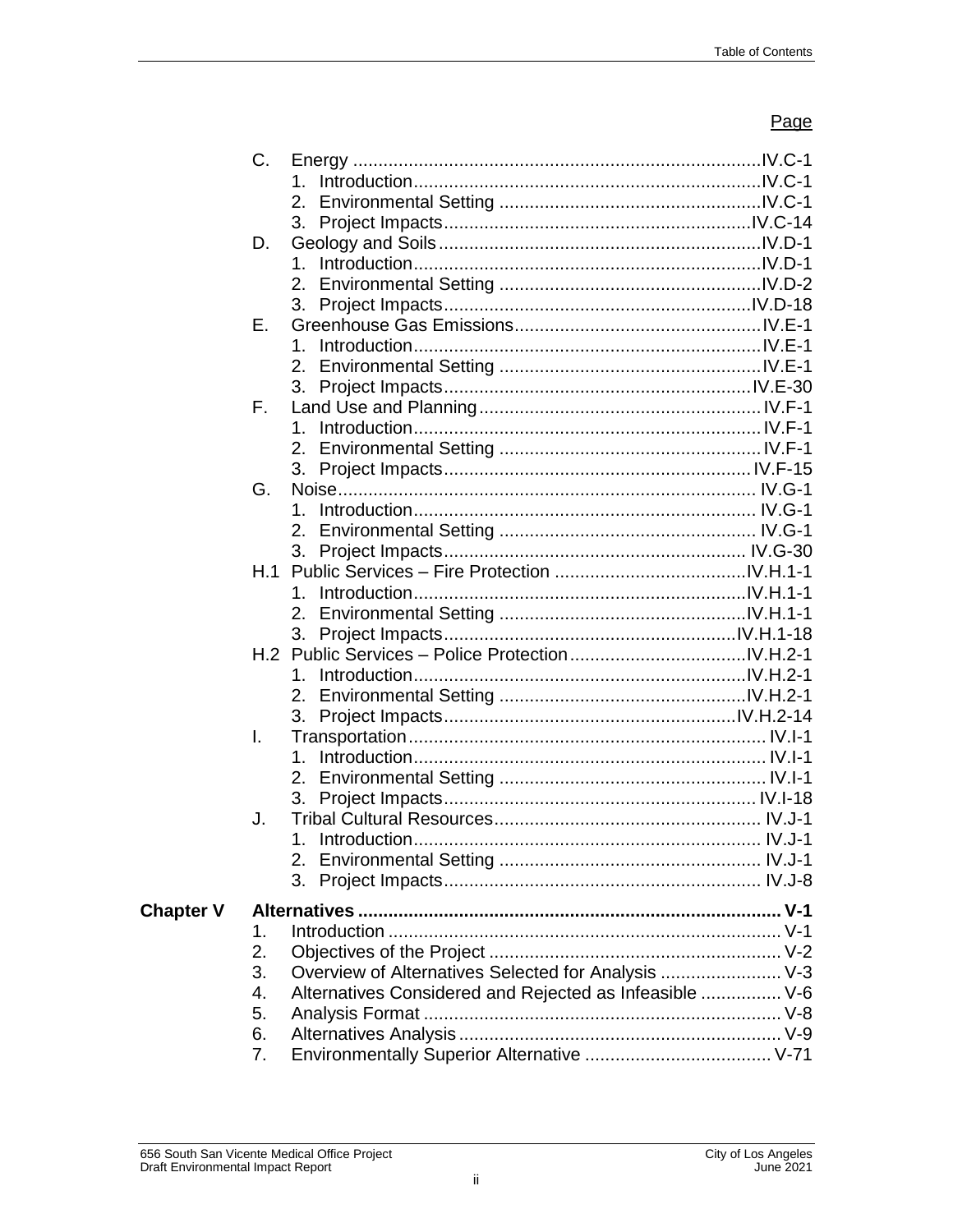|                  | C. |                                                         |  |
|------------------|----|---------------------------------------------------------|--|
|                  |    | 1.                                                      |  |
|                  |    |                                                         |  |
|                  |    |                                                         |  |
|                  | D. |                                                         |  |
|                  |    | 1.                                                      |  |
|                  |    | 2.                                                      |  |
|                  |    | 3.                                                      |  |
|                  | Е. |                                                         |  |
|                  |    | 1.                                                      |  |
|                  |    |                                                         |  |
|                  |    | 3.                                                      |  |
|                  | F. |                                                         |  |
|                  |    | $1_{-}$                                                 |  |
|                  |    |                                                         |  |
|                  |    |                                                         |  |
|                  | G. |                                                         |  |
|                  |    | 1.                                                      |  |
|                  |    |                                                         |  |
|                  |    | 3.                                                      |  |
|                  |    |                                                         |  |
|                  |    | 1.                                                      |  |
|                  |    |                                                         |  |
|                  |    |                                                         |  |
|                  |    |                                                         |  |
|                  |    | 1.                                                      |  |
|                  |    |                                                         |  |
|                  |    | 3.                                                      |  |
|                  | I. |                                                         |  |
|                  |    | 1.                                                      |  |
|                  |    | $2_{-}$                                                 |  |
|                  |    | 3.                                                      |  |
|                  | J. |                                                         |  |
|                  |    |                                                         |  |
|                  |    |                                                         |  |
|                  |    | 3.                                                      |  |
|                  |    |                                                         |  |
| <b>Chapter V</b> |    |                                                         |  |
|                  | 1. |                                                         |  |
|                  | 2. |                                                         |  |
|                  | 3. | Overview of Alternatives Selected for Analysis  V-3     |  |
|                  | 4. | Alternatives Considered and Rejected as Infeasible  V-6 |  |
|                  | 5. |                                                         |  |
|                  | 6. |                                                         |  |
|                  | 7. |                                                         |  |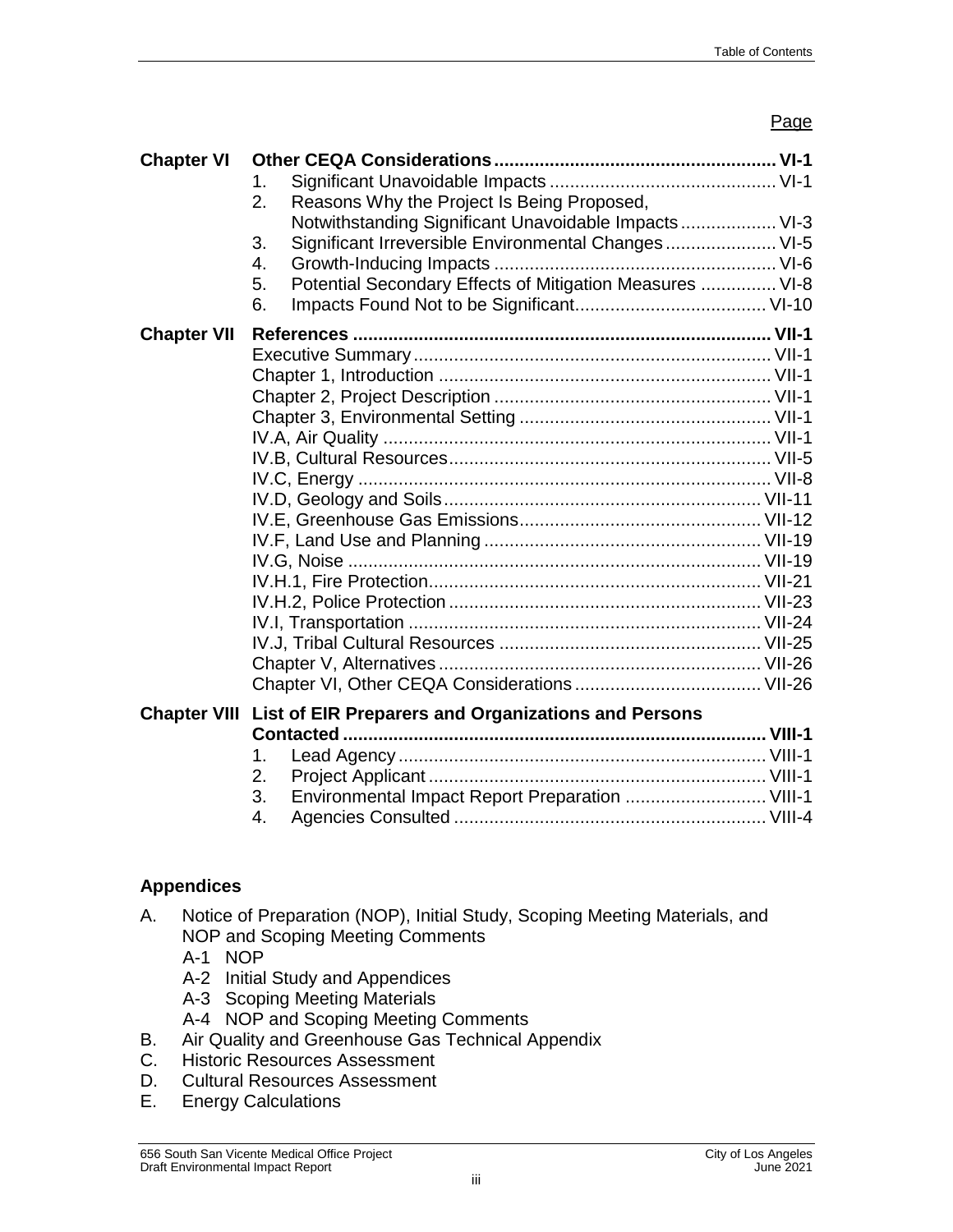| <b>Chapter VI</b>  | 1.<br>Reasons Why the Project Is Being Proposed,<br>2.                                                                                                                                           |  |
|--------------------|--------------------------------------------------------------------------------------------------------------------------------------------------------------------------------------------------|--|
|                    | Notwithstanding Significant Unavoidable Impacts  VI-3<br>Significant Irreversible Environmental Changes VI-5<br>3.<br>4.<br>Potential Secondary Effects of Mitigation Measures  VI-8<br>5.<br>6. |  |
| <b>Chapter VII</b> |                                                                                                                                                                                                  |  |
|                    | <b>Chapter VIII List of EIR Preparers and Organizations and Persons</b><br>1.<br>2.<br>Environmental Impact Report Preparation  VIII-1<br>3.                                                     |  |

4. Agencies Consulted .............................................................. VIII-4

# **Appendices**

- A. Notice of Preparation (NOP), Initial Study, Scoping Meeting Materials, and NOP and Scoping Meeting Comments
	- A-1 NOP
	- A-2 Initial Study and Appendices
	- A-3 Scoping Meeting Materials
	- A-4 NOP and Scoping Meeting Comments
- B. Air Quality and Greenhouse Gas Technical Appendix
- C. Historic Resources Assessment
- D. Cultural Resources Assessment
- E. Energy Calculations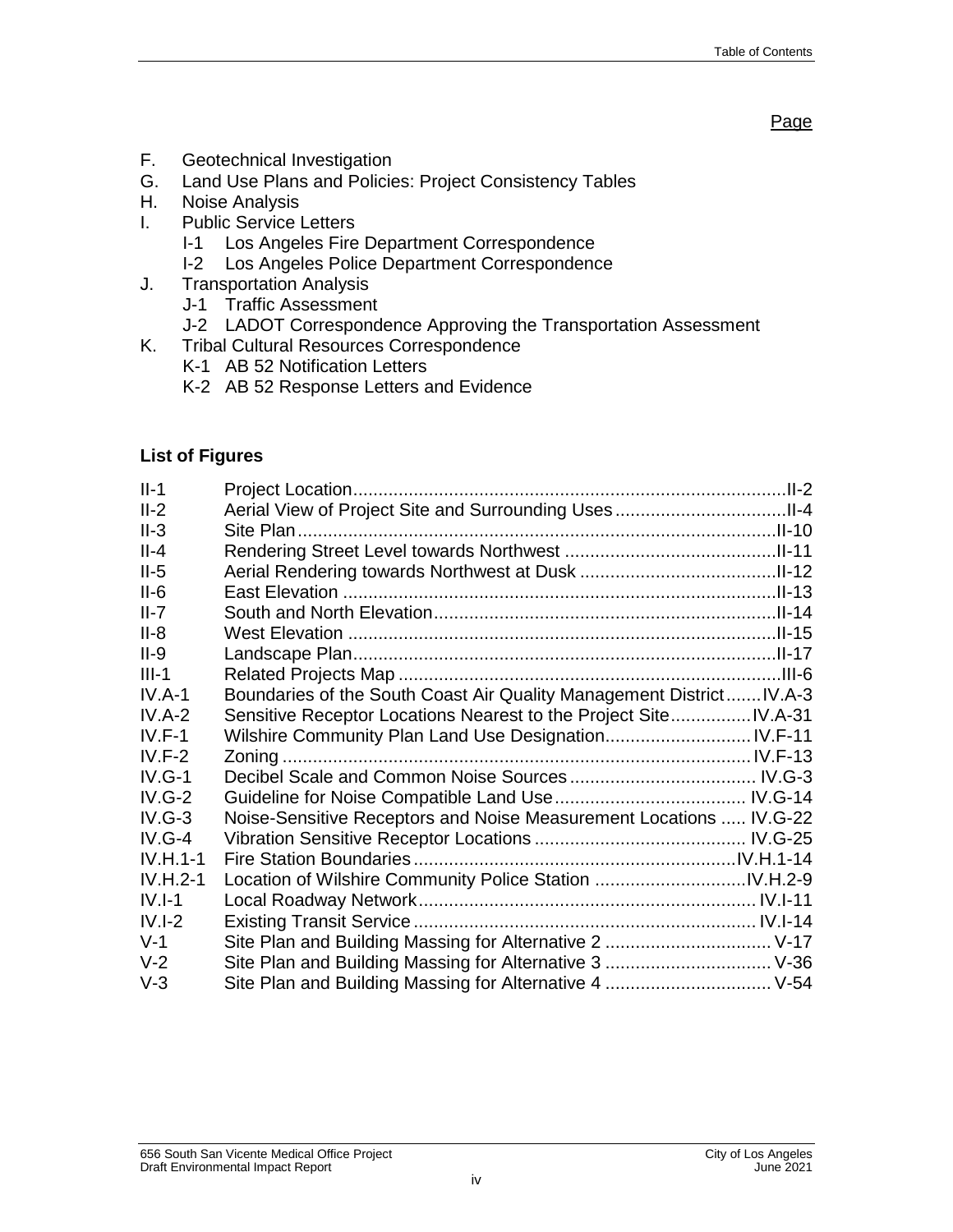- F. Geotechnical Investigation
- G. Land Use Plans and Policies: Project Consistency Tables
- H. Noise Analysis
- I. Public Service Letters
	- I-1 Los Angeles Fire Department Correspondence
	- I-2 Los Angeles Police Department Correspondence
- J. Transportation Analysis
	- J-1 Traffic Assessment
	- J-2 LADOT Correspondence Approving the Transportation Assessment
- K. Tribal Cultural Resources Correspondence
	- K-1 AB 52 Notification Letters
	- K-2 AB 52 Response Letters and Evidence

#### **List of Figures**

| $II-1$     |                                                                      |  |
|------------|----------------------------------------------------------------------|--|
| $II-2$     |                                                                      |  |
| $II-3$     |                                                                      |  |
| $II - 4$   |                                                                      |  |
| $II-5$     |                                                                      |  |
| $II-6$     |                                                                      |  |
| $II-7$     |                                                                      |  |
| $II-8$     |                                                                      |  |
| $II-9$     |                                                                      |  |
| $III-1$    |                                                                      |  |
| $IV.A-1$   | Boundaries of the South Coast Air Quality Management District IV.A-3 |  |
| $IV.A-2$   | Sensitive Receptor Locations Nearest to the Project Site IV.A-31     |  |
| $IV.F-1$   |                                                                      |  |
| $IV.F-2$   |                                                                      |  |
| $IV.G-1$   |                                                                      |  |
| $IV.G-2$   |                                                                      |  |
| $IV.G-3$   | Noise-Sensitive Receptors and Noise Measurement Locations  IV.G-22   |  |
| $IV.G-4$   |                                                                      |  |
| $IV.H.1-1$ |                                                                      |  |
| $IV.H.2-1$ |                                                                      |  |
| $IV.I-1$   |                                                                      |  |
| $IV.I-2$   |                                                                      |  |
| $V-1$      |                                                                      |  |
| $V-2$      |                                                                      |  |
| $V-3$      | Site Plan and Building Massing for Alternative 4  V-54               |  |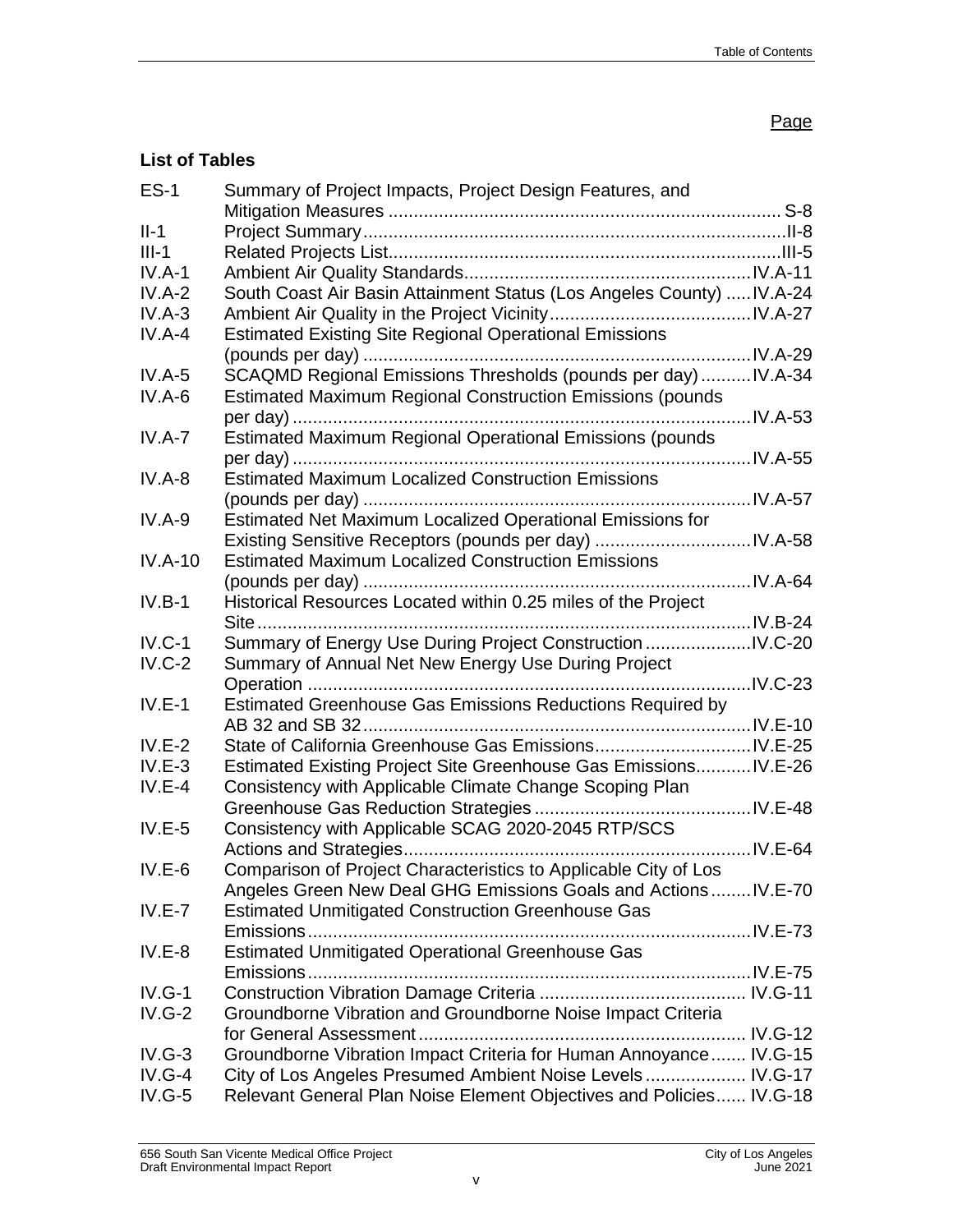# **List of Tables**

| $ES-1$    | Summary of Project Impacts, Project Design Features, and              |  |
|-----------|-----------------------------------------------------------------------|--|
| $II-1$    |                                                                       |  |
| $III-1$   |                                                                       |  |
| $IV.A-1$  |                                                                       |  |
| $IV.A-2$  | South Coast Air Basin Attainment Status (Los Angeles County)  IV.A-24 |  |
| $IV.A-3$  |                                                                       |  |
| $IV.A-4$  |                                                                       |  |
|           | <b>Estimated Existing Site Regional Operational Emissions</b>         |  |
|           |                                                                       |  |
| $IV.A-5$  | SCAQMD Regional Emissions Thresholds (pounds per day)  IV.A-34        |  |
| $IV.A-6$  | <b>Estimated Maximum Regional Construction Emissions (pounds</b>      |  |
|           |                                                                       |  |
| $IV.A-7$  | Estimated Maximum Regional Operational Emissions (pounds              |  |
|           |                                                                       |  |
| $IV.A-8$  | <b>Estimated Maximum Localized Construction Emissions</b>             |  |
|           |                                                                       |  |
| $IV.A-9$  | Estimated Net Maximum Localized Operational Emissions for             |  |
|           |                                                                       |  |
| $IV.A-10$ | <b>Estimated Maximum Localized Construction Emissions</b>             |  |
|           |                                                                       |  |
| $IV.B-1$  | Historical Resources Located within 0.25 miles of the Project         |  |
|           |                                                                       |  |
| $IV.C-1$  | Summary of Energy Use During Project Construction IV.C-20             |  |
| $IV.C-2$  | Summary of Annual Net New Energy Use During Project                   |  |
|           |                                                                       |  |
| $IV.E-1$  | Estimated Greenhouse Gas Emissions Reductions Required by             |  |
|           |                                                                       |  |
| $IV.E-2$  |                                                                       |  |
| $IV.E-3$  | Estimated Existing Project Site Greenhouse Gas Emissions IV.E-26      |  |
| $IV.E-4$  | Consistency with Applicable Climate Change Scoping Plan               |  |
|           |                                                                       |  |
|           |                                                                       |  |
| $IV.E-5$  | Consistency with Applicable SCAG 2020-2045 RTP/SCS                    |  |
|           |                                                                       |  |
| $IV.E-6$  | Comparison of Project Characteristics to Applicable City of Los       |  |
|           | Angeles Green New Deal GHG Emissions Goals and Actions IV.E-70        |  |
| $IV.E-7$  | <b>Estimated Unmitigated Construction Greenhouse Gas</b>              |  |
|           |                                                                       |  |
| $IV.E-8$  | <b>Estimated Unmitigated Operational Greenhouse Gas</b>               |  |
|           |                                                                       |  |
| $IV.G-1$  |                                                                       |  |
| $IV.G-2$  | Groundborne Vibration and Groundborne Noise Impact Criteria           |  |
|           |                                                                       |  |
| $IV.G-3$  | Groundborne Vibration Impact Criteria for Human Annoyance IV.G-15     |  |
| $IV.G-4$  | City of Los Angeles Presumed Ambient Noise Levels IV.G-17             |  |
| $IV.G-5$  | Relevant General Plan Noise Element Objectives and Policies IV.G-18   |  |